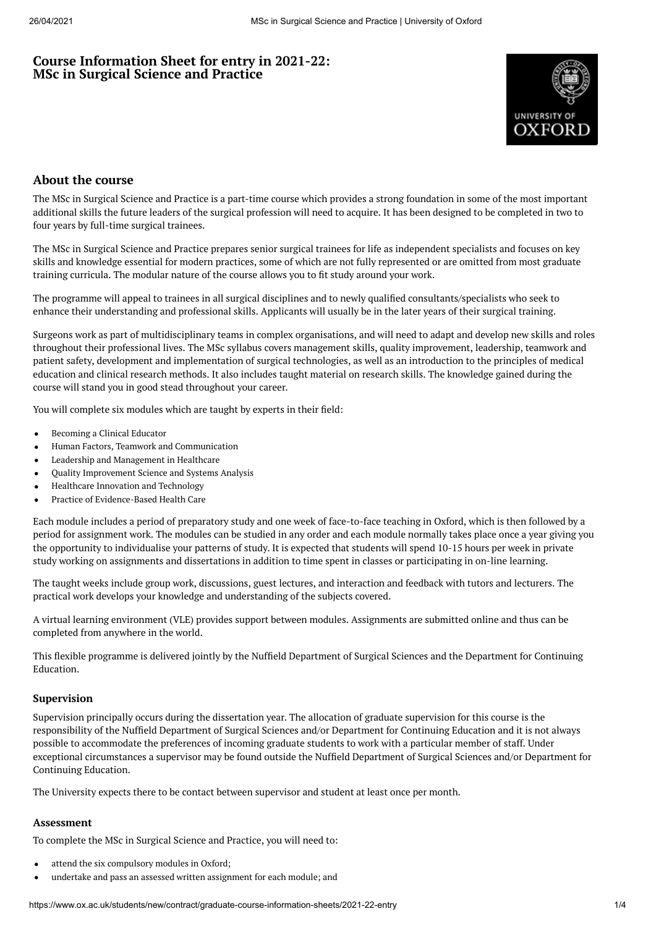# **Course Information Sheet for entry in 2021-22: MSc in Surgical Science and Practice**



# **About the course**

The MSc in Surgical Science and Practice is a part-time course which provides a strong foundation in some of the most important additional skills the future leaders of the surgical profession will need to acquire. It has been designed to be completed in two to four years by full-time surgical trainees.

The MSc in Surgical Science and Practice prepares senior surgical trainees for life as independent specialists and focuses on key skills and knowledge essential for modern practices, some of which are not fully represented or are omitted from most graduate training curricula. The modular nature of the course allows you to fit study around your work.

The programme will appeal to trainees in all surgical disciplines and to newly qualified consultants/specialists who seek to enhance their understanding and professional skills. Applicants will usually be in the later years of their surgical training.

Surgeons work as part of multidisciplinary teams in complex organisations, and will need to adapt and develop new skills and roles throughout their professional lives. The MSc syllabus covers management skills, quality improvement, leadership, teamwork and patient safety, development and implementation of surgical technologies, as well as an introduction to the principles of medical education and clinical research methods. It also includes taught material on research skills. The knowledge gained during the course will stand you in good stead throughout your career.

You will complete six modules which are taught by experts in their field:

- Becoming a Clinical Educator  $\bullet$
- Human Factors, Teamwork and Communication  $\bullet$
- $\bullet$ Leadership and Management in Healthcare
- Quality Improvement Science and Systems Analysis
- Healthcare Innovation and Technology
- Practice of Evidence-Based Health Care  $\bullet$

Each module includes a period of preparatory study and one week of face-to-face teaching in Oxford, which is then followed by a period for assignment work. The modules can be studied in any order and each module normally takes place once a year giving you the opportunity to individualise your patterns of study. It is expected that students will spend 10-15 hours per week in private study working on assignments and dissertations in addition to time spent in classes or participating in on-line learning.

The taught weeks include group work, discussions, guest lectures, and interaction and feedback with tutors and lecturers. The practical work develops your knowledge and understanding of the subjects covered.

A virtual learning environment (VLE) provides support between modules. Assignments are submitted online and thus can be completed from anywhere in the world.

This flexible programme is delivered jointly by the Nuffield Department of Surgical Sciences and the Department for Continuing Education.

#### **Supervision**

Supervision principally occurs during the dissertation year. The allocation of graduate supervision for this course is the responsibility of the Nuffield Department of Surgical Sciences and/or Department for Continuing Education and it is not always possible to accommodate the preferences of incoming graduate students to work with a particular member of staff. Under exceptional circumstances a supervisor may be found outside the Nuffield Department of Surgical Sciences and/or Department for Continuing Education.

The University expects there to be contact between supervisor and student at least once per month.

# **Assessment**

To complete the MSc in Surgical Science and Practice, you will need to:

- attend the six compulsory modules in Oxford;
- undertake and pass an assessed written assignment for each module; and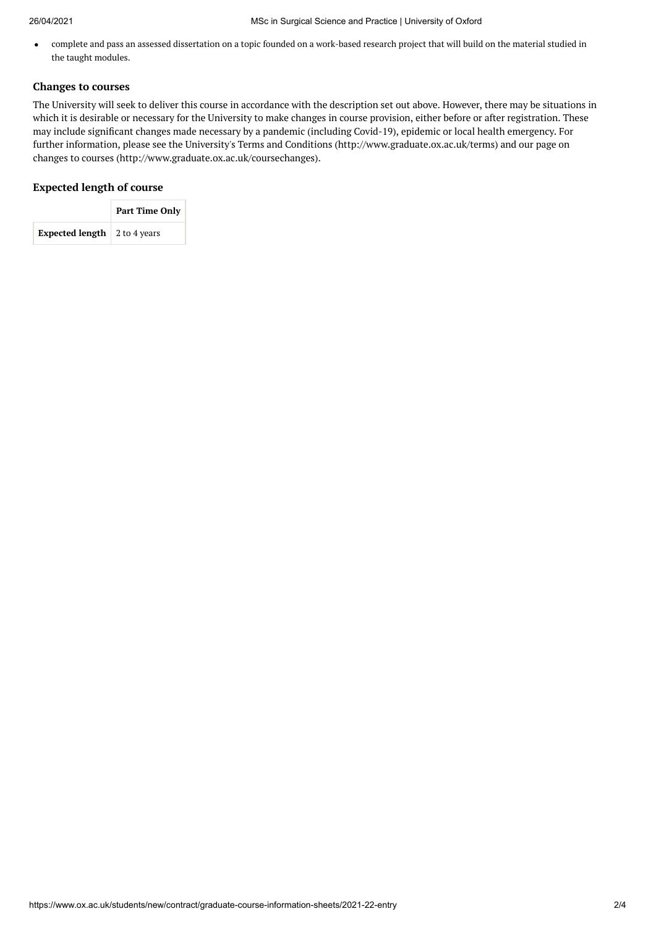complete and pass an assessed dissertation on a topic founded on a work-based research project that will build on the material studied in  $\bullet$ the taught modules.

## **Changes to courses**

The University will seek to deliver this course in accordance with the description set out above. However, there may be situations in which it is desirable or necessary for the University to make changes in course provision, either before or after registration. These may include significant changes made necessary by a pandemic (including Covid-19), epidemic or local health emergency. For further information, please see the University's Terms and Conditions (http://www.graduate.ox.ac.uk/terms) and our page on changes to courses (http://www.graduate.ox.ac.uk/coursechanges).

## **Expected length of course**

|                                             | <b>Part Time Only</b> |  |  |
|---------------------------------------------|-----------------------|--|--|
| <b>Expected length</b> $\vert$ 2 to 4 years |                       |  |  |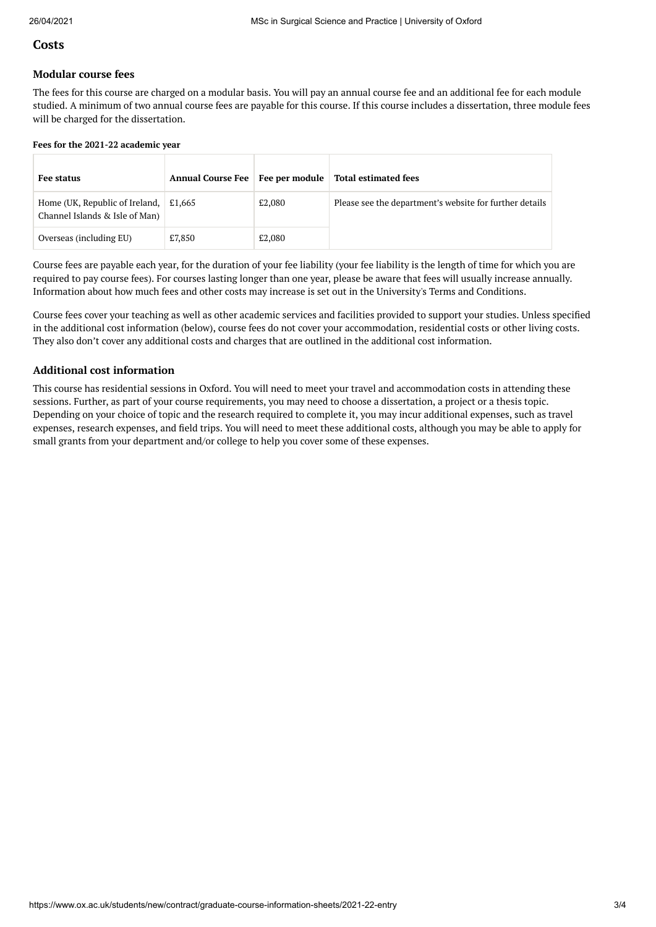## **Costs**

### **Modular course fees**

The fees for this course are charged on a modular basis. You will pay an annual course fee and an additional fee for each module studied. A minimum of two annual course fees are payable for this course. If this course includes a dissertation, three module fees will be charged for the dissertation.

#### **Fees for the 2021-22 academic year**

| <b>Fee status</b>                                                              | <b>Annual Course Fee</b> | Fee per module | <b>Total estimated fees</b>                             |  |
|--------------------------------------------------------------------------------|--------------------------|----------------|---------------------------------------------------------|--|
| Home (UK, Republic of Ireland, $\mid$ £1,665<br>Channel Islands & Isle of Man) |                          | £2,080         | Please see the department's website for further details |  |
| Overseas (including EU)                                                        | £7,850                   | £2,080         |                                                         |  |

Course fees are payable each year, for the duration of your fee liability (your fee liability is the length of time for which you are required to pay course fees). For courses lasting longer than one year, please be aware that fees will usually increase annually. Information about how much fees and other costs may increase is set out in the University's Terms and Conditions.

Course fees cover your teaching as well as other academic services and facilities provided to support your studies. Unless specified in the additional cost information (below), course fees do not cover your accommodation, residential costs or other living costs. They also don't cover any additional costs and charges that are outlined in the additional cost information.

## **Additional cost information**

This course has residential sessions in Oxford. You will need to meet your travel and accommodation costs in attending these sessions. Further, as part of your course requirements, you may need to choose a dissertation, a project or a thesis topic. Depending on your choice of topic and the research required to complete it, you may incur additional expenses, such as travel expenses, research expenses, and eld trips. You will need to meet these additional costs, although you may be able to apply for small grants from your department and/or college to help you cover some of these expenses.